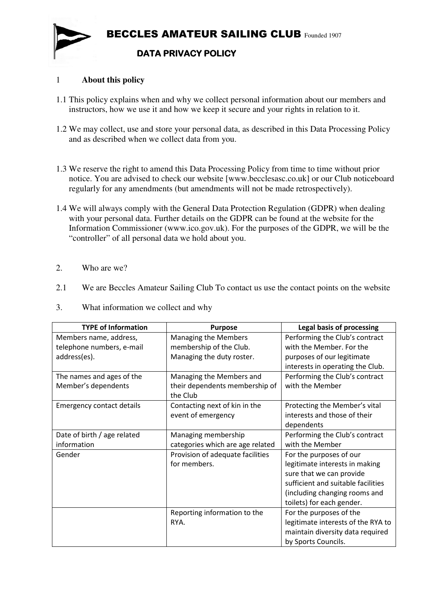

## 1 **About this policy**

- 1.1 This policy explains when and why we collect personal information about our members and instructors, how we use it and how we keep it secure and your rights in relation to it.
- 1.2 We may collect, use and store your personal data, as described in this Data Processing Policy and as described when we collect data from you.
- 1.3 We reserve the right to amend this Data Processing Policy from time to time without prior notice. You are advised to check our website [www.becclesasc.co.uk] or our Club noticeboard regularly for any amendments (but amendments will not be made retrospectively).
- 1.4 We will always comply with the General Data Protection Regulation (GDPR) when dealing with your personal data. Further details on the GDPR can be found at the website for the Information Commissioner (www.ico.gov.uk). For the purposes of the GDPR, we will be the "controller" of all personal data we hold about you.
- 2. Who are we?
- 2.1 We are Beccles Amateur Sailing Club To contact us use the contact points on the website
- 3. What information we collect and why

| <b>TYPE of Information</b>       | <b>Purpose</b>                   | <b>Legal basis of processing</b>   |
|----------------------------------|----------------------------------|------------------------------------|
| Members name, address,           | <b>Managing the Members</b>      | Performing the Club's contract     |
| telephone numbers, e-mail        | membership of the Club.          | with the Member. For the           |
| address(es).                     | Managing the duty roster.        | purposes of our legitimate         |
|                                  |                                  | interests in operating the Club.   |
| The names and ages of the        | Managing the Members and         | Performing the Club's contract     |
| Member's dependents              | their dependents membership of   | with the Member                    |
|                                  | the Club                         |                                    |
| <b>Emergency contact details</b> | Contacting next of kin in the    | Protecting the Member's vital      |
|                                  | event of emergency               | interests and those of their       |
|                                  |                                  | dependents                         |
| Date of birth / age related      | Managing membership              | Performing the Club's contract     |
| information                      | categories which are age related | with the Member                    |
| Gender                           | Provision of adequate facilities | For the purposes of our            |
|                                  | for members.                     | legitimate interests in making     |
|                                  |                                  | sure that we can provide           |
|                                  |                                  | sufficient and suitable facilities |
|                                  |                                  | (including changing rooms and      |
|                                  |                                  | toilets) for each gender.          |
|                                  | Reporting information to the     | For the purposes of the            |
|                                  | RYA.                             | legitimate interests of the RYA to |
|                                  |                                  | maintain diversity data required   |
|                                  |                                  | by Sports Councils.                |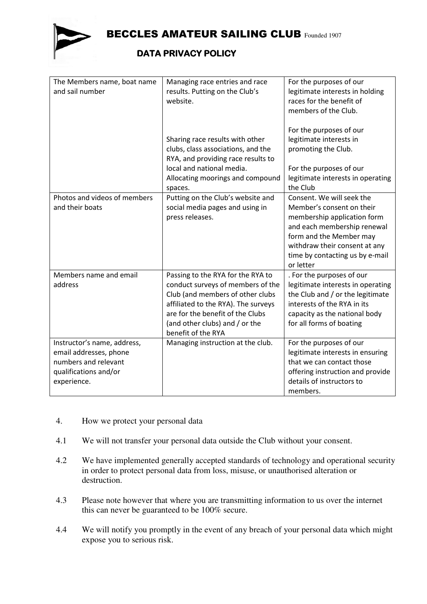

BECCLES AMATEUR SAILING CLUB Founded 1907

## **DATA PRIVACY POLICY**

| The Members name, boat name<br>and sail number                                                                        | Managing race entries and race<br>results. Putting on the Club's<br>website.                                                                                                                                                                  | For the purposes of our<br>legitimate interests in holding<br>races for the benefit of<br>members of the Club.                                                                                                                   |
|-----------------------------------------------------------------------------------------------------------------------|-----------------------------------------------------------------------------------------------------------------------------------------------------------------------------------------------------------------------------------------------|----------------------------------------------------------------------------------------------------------------------------------------------------------------------------------------------------------------------------------|
|                                                                                                                       | Sharing race results with other<br>clubs, class associations, and the<br>RYA, and providing race results to<br>local and national media.<br>Allocating moorings and compound<br>spaces.                                                       | For the purposes of our<br>legitimate interests in<br>promoting the Club.<br>For the purposes of our<br>legitimate interests in operating<br>the Club                                                                            |
| Photos and videos of members<br>and their boats                                                                       | Putting on the Club's website and<br>social media pages and using in<br>press releases.                                                                                                                                                       | Consent. We will seek the<br>Member's consent on their<br>membership application form<br>and each membership renewal<br>form and the Member may<br>withdraw their consent at any<br>time by contacting us by e-mail<br>or letter |
| Members name and email<br>address                                                                                     | Passing to the RYA for the RYA to<br>conduct surveys of members of the<br>Club (and members of other clubs<br>affiliated to the RYA). The surveys<br>are for the benefit of the Clubs<br>(and other clubs) and / or the<br>benefit of the RYA | . For the purposes of our<br>legitimate interests in operating<br>the Club and / or the legitimate<br>interests of the RYA in its<br>capacity as the national body<br>for all forms of boating                                   |
| Instructor's name, address,<br>email addresses, phone<br>numbers and relevant<br>qualifications and/or<br>experience. | Managing instruction at the club.                                                                                                                                                                                                             | For the purposes of our<br>legitimate interests in ensuring<br>that we can contact those<br>offering instruction and provide<br>details of instructors to<br>members.                                                            |

- 4. How we protect your personal data
- 4.1 We will not transfer your personal data outside the Club without your consent.
- 4.2 We have implemented generally accepted standards of technology and operational security in order to protect personal data from loss, misuse, or unauthorised alteration or destruction.
- 4.3 Please note however that where you are transmitting information to us over the internet this can never be guaranteed to be 100% secure.
- 4.4 We will notify you promptly in the event of any breach of your personal data which might expose you to serious risk.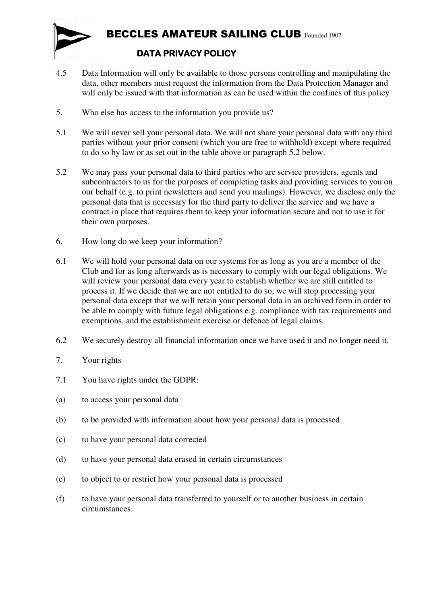

- 4.5 Data Information will only be available to those persons controlling and manipulating the data, other members must request the information from the Data Protection Manager and will only be issued with that information as can be used within the confines of this policy
- 5. Who else has access to the information you provide us?
- 5.1 We will never sell your personal data. We will not share your personal data with any third parties without your prior consent (which you are free to withhold) except where required to do so by law or as set out in the table above or paragraph 5.2 below.
- 5.2 We may pass your personal data to third parties who are service providers, agents and subcontractors to us for the purposes of completing tasks and providing services to you on our behalf (e.g. to print newsletters and send you mailings). However, we disclose only the personal data that is necessary for the third party to deliver the service and we have a contract in place that requires them to keep your information secure and not to use it for their own purposes.
- 6. How long do we keep your information?
- 6.1 We will hold your personal data on our systems for as long as you are a member of the Club and for as long afterwards as is necessary to comply with our legal obligations. We will review your personal data every year to establish whether we are still entitled to process it. If we decide that we are not entitled to do so, we will stop processing your personal data except that we will retain your personal data in an archived form in order to be able to comply with future legal obligations e.g. compliance with tax requirements and exemptions, and the establishment exercise or defence of legal claims.
- 6.2 We securely destroy all financial information once we have used it and no longer need it.
- 7. Your rights
- 7.1 You have rights under the GDPR:
- (a) to access your personal data
- (b) to be provided with information about how your personal data is processed
- (c) to have your personal data corrected
- (d) to have your personal data erased in certain circumstances
- (e) to object to or restrict how your personal data is processed
- (f) to have your personal data transferred to yourself or to another business in certain circumstances.